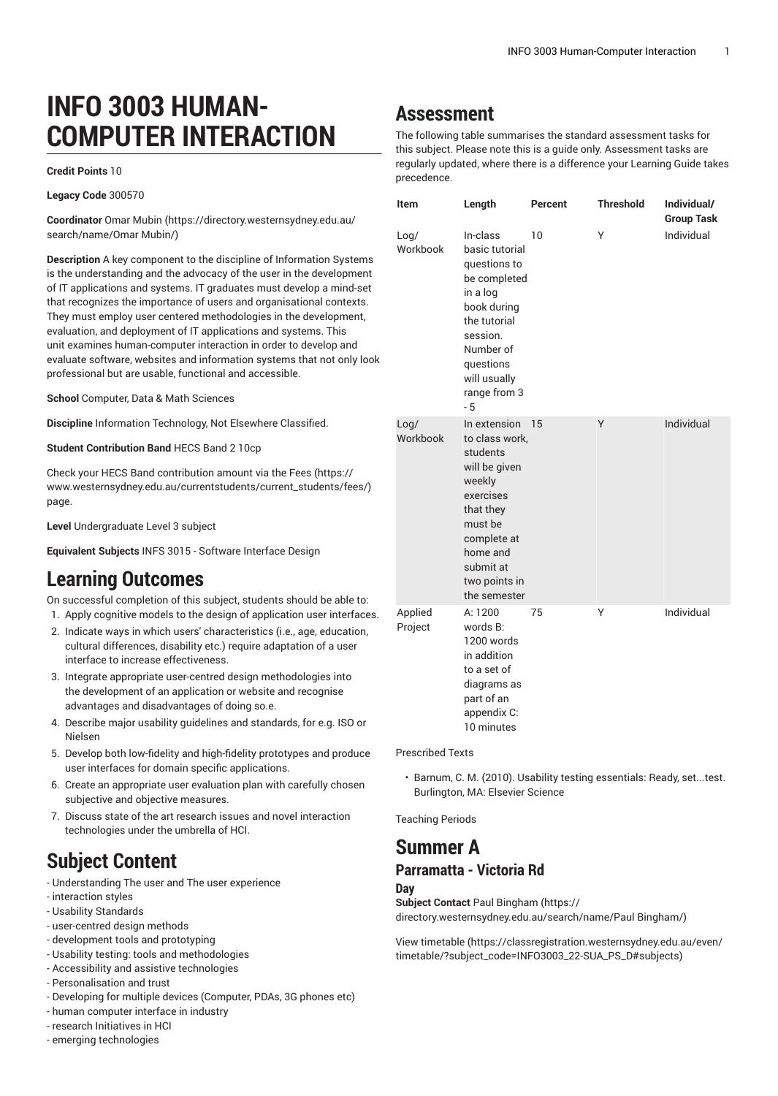# **INFO 3003 HUMAN-COMPUTER INTERACTION**

#### **Credit Points** 10

**Legacy Code** 300570

**Coordinator** [Omar Mubin \(https://directory.westernsydney.edu.au/](https://directory.westernsydney.edu.au/search/name/Omar Mubin/) [search/name/Omar](https://directory.westernsydney.edu.au/search/name/Omar Mubin/) Mubin/)

**Description** A key component to the discipline of Information Systems is the understanding and the advocacy of the user in the development of IT applications and systems. IT graduates must develop a mind-set that recognizes the importance of users and organisational contexts. They must employ user centered methodologies in the development, evaluation, and deployment of IT applications and systems. This unit examines human-computer interaction in order to develop and evaluate software, websites and information systems that not only look professional but are usable, functional and accessible.

**School** Computer, Data & Math Sciences

**Discipline** Information Technology, Not Elsewhere Classified.

**Student Contribution Band** HECS Band 2 10cp

Check your HECS Band contribution amount via the [Fees \(https://](https://www.westernsydney.edu.au/currentstudents/current_students/fees/) [www.westernsydney.edu.au/currentstudents/current\\_students/fees/\)](https://www.westernsydney.edu.au/currentstudents/current_students/fees/) page.

**Level** Undergraduate Level 3 subject

**Equivalent Subjects** INFS 3015 - Software Interface Design

## **Learning Outcomes**

On successful completion of this subject, students should be able to: 1. Apply cognitive models to the design of application user interfaces.

- 2. Indicate ways in which users' characteristics (i.e., age, education, cultural differences, disability etc.) require adaptation of a user interface to increase effectiveness.
- 3. Integrate appropriate user-centred design methodologies into the development of an application or website and recognise advantages and disadvantages of doing so.e.
- 4. Describe major usability guidelines and standards, for e.g. ISO or Nielsen
- 5. Develop both low-fidelity and high-fidelity prototypes and produce user interfaces for domain specific applications.
- 6. Create an appropriate user evaluation plan with carefully chosen subjective and objective measures.
- 7. Discuss state of the art research issues and novel interaction technologies under the umbrella of HCI.

# **Subject Content**

- Understanding The user and The user experience
- interaction styles
- Usability Standards
- user-centred design methods
- development tools and prototyping
- Usability testing: tools and methodologies
- Accessibility and assistive technologies
- Personalisation and trust
- Developing for multiple devices (Computer, PDAs, 3G phones etc)
- human computer interface in industry
- research Initiatives in HCI
- emerging technologies

## **Assessment**

The following table summarises the standard assessment tasks for this subject. Please note this is a guide only. Assessment tasks are regularly updated, where there is a difference your Learning Guide takes precedence.

| Item               | Length                                                                                                                                                                              | Percent | <b>Threshold</b> | Individual/<br><b>Group Task</b> |
|--------------------|-------------------------------------------------------------------------------------------------------------------------------------------------------------------------------------|---------|------------------|----------------------------------|
| Log/<br>Workbook   | In-class<br>basic tutorial<br>questions to<br>be completed<br>in a log<br>book during<br>the tutorial<br>session.<br>Number of<br>questions<br>will usually<br>range from 3<br>$-5$ | 10      | Υ                | Individual                       |
| Log/<br>Workbook   | In extension<br>to class work,<br>students<br>will be given<br>weekly<br>exercises<br>that they<br>must be<br>complete at<br>home and<br>submit at<br>two points in<br>the semester | 15      | Y                | Individual                       |
| Applied<br>Project | A: 1200<br>words B:<br>1200 words<br>in addition<br>to a set of<br>diagrams as<br>part of an<br>appendix C:<br>10 minutes                                                           | 75      | Υ                | Individual                       |

Prescribed Texts

• Barnum, C. M. (2010). Usability testing essentials: Ready, set...test. Burlington, MA: Elsevier Science

Teaching Periods

### **Summer A Parramatta - Victoria Rd**

#### **Day**

**Subject Contact** Paul [Bingham \(https://](https://directory.westernsydney.edu.au/search/name/Paul Bingham/) [directory.westernsydney.edu.au/search/name/Paul](https://directory.westernsydney.edu.au/search/name/Paul Bingham/) Bingham/)

[View timetable](https://classregistration.westernsydney.edu.au/even/timetable/?subject_code=INFO3003_22-SUA_PS_D#subjects) [\(https://classregistration.westernsydney.edu.au/even/](https://classregistration.westernsydney.edu.au/even/timetable/?subject_code=INFO3003_22-SUA_PS_D#subjects) [timetable/?subject\\_code=INFO3003\\_22-SUA\\_PS\\_D#subjects](https://classregistration.westernsydney.edu.au/even/timetable/?subject_code=INFO3003_22-SUA_PS_D#subjects))